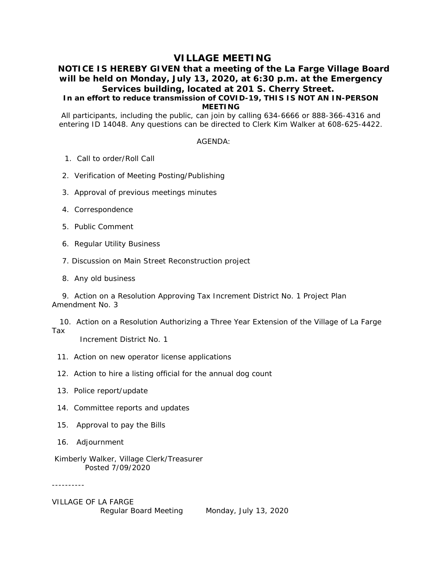# **VILLAGE MEETING**

## **NOTICE IS HEREBY GIVEN that a meeting of the La Farge Village Board will be held on Monday, July 13, 2020, at 6:30 p.m. at the Emergency Services building, located at 201 S. Cherry Street.**

## **In an effort to reduce transmission of COVID-19, THIS IS NOT AN IN-PERSON MEETING**

All participants, including the public, can join by calling 634-6666 or 888-366-4316 and entering ID 14048. Any questions can be directed to Clerk Kim Walker at 608-625-4422.

### AGENDA:

- 1. Call to order/Roll Call
- 2. Verification of Meeting Posting/Publishing
- 3. Approval of previous meetings minutes
- 4. Correspondence
- 5. Public Comment
- 6. Regular Utility Business
- 7. Discussion on Main Street Reconstruction project
- 8. Any old business

 9. Action on a Resolution Approving Tax Increment District No. 1 Project Plan Amendment No. 3

 10. Action on a Resolution Authorizing a Three Year Extension of the Village of La Farge Tax

Increment District No. 1

- 11. Action on new operator license applications
- 12. Action to hire a listing official for the annual dog count
- 13. Police report/update
- 14. Committee reports and updates
- 15. Approval to pay the Bills
- 16. Adjournment
- Kimberly Walker, Village Clerk/Treasurer Posted 7/09/2020

----------

VILLAGE OF LA FARGE Regular Board Meeting Monday, July 13, 2020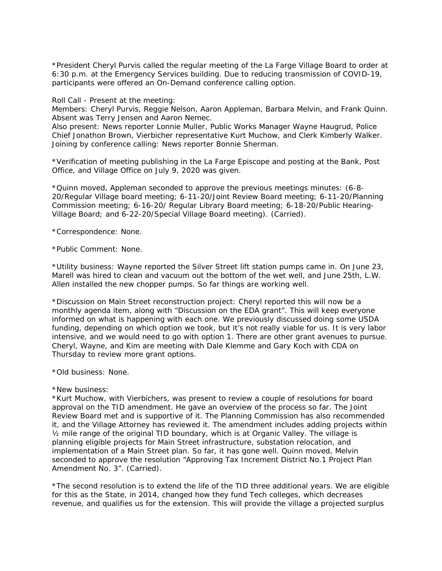\*President Cheryl Purvis called the regular meeting of the La Farge Village Board to order at 6:30 p.m. at the Emergency Services building. Due to reducing transmission of COVID-19, participants were offered an On-Demand conference calling option.

Roll Call - Present at the meeting:

Members: Cheryl Purvis, Reggie Nelson, Aaron Appleman, Barbara Melvin, and Frank Quinn. Absent was Terry Jensen and Aaron Nemec.

Also present: News reporter Lonnie Muller, Public Works Manager Wayne Haugrud, Police Chief Jonathon Brown, Vierbicher representative Kurt Muchow, and Clerk Kimberly Walker. Joining by conference calling: News reporter Bonnie Sherman.

\*Verification of meeting publishing in the La Farge Episcope and posting at the Bank, Post Office, and Village Office on July 9, 2020 was given.

\*Quinn moved, Appleman seconded to approve the previous meetings minutes: (6-8- 20/Regular Village board meeting; 6-11-20/Joint Review Board meeting; 6-11-20/Planning Commission meeting; 6-16-20/ Regular Library Board meeting; 6-18-20/Public Hearing-Village Board; and 6-22-20/Special Village Board meeting). (Carried).

\*Correspondence: None.

\*Public Comment: None.

\*Utility business: Wayne reported the Silver Street lift station pumps came in. On June 23, Marell was hired to clean and vacuum out the bottom of the wet well, and June 25th, L.W. Allen installed the new chopper pumps. So far things are working well.

\*Discussion on Main Street reconstruction project: Cheryl reported this will now be a monthly agenda item, along with "Discussion on the EDA grant". This will keep everyone informed on what is happening with each one. We previously discussed doing some USDA funding, depending on which option we took, but it's not really viable for us. It is very labor intensive, and we would need to go with option 1. There are other grant avenues to pursue. Cheryl, Wayne, and Kim are meeting with Dale Klemme and Gary Koch with CDA on Thursday to review more grant options.

\*Old business: None.

\*New business:

\*Kurt Muchow, with Vierbichers, was present to review a couple of resolutions for board approval on the TID amendment. He gave an overview of the process so far. The Joint Review Board met and is supportive of it. The Planning Commission has also recommended it, and the Village Attorney has reviewed it. The amendment includes adding projects within ½ mile range of the original TID boundary, which is at Organic Valley. The village is planning eligible projects for Main Street infrastructure, substation relocation, and implementation of a Main Street plan. So far, it has gone well. Quinn moved, Melvin seconded to approve the resolution "Approving Tax Increment District No.1 Project Plan Amendment No. 3". (Carried).

\*The second resolution is to extend the life of the TID three additional years. We are eligible for this as the State, in 2014, changed how they fund Tech colleges, which decreases revenue, and qualifies us for the extension. This will provide the village a projected surplus